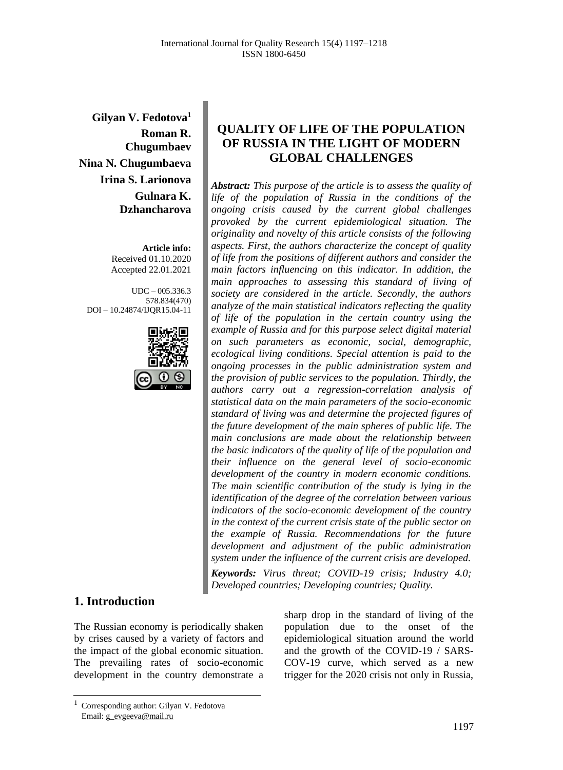**Gilyan V. Fedotova<sup>1</sup> Roman R. Chugumbaev Nina N. Chugumbaeva Irina S. Larionova Gulnara K. Dzhancharova**

> **Article info:** Received 01.10.2020 Accepted 22.01.2021

UDC – 005.336.3 578.834(470) DOI – 10.24874/IJQR15.04-11



# **1. Introduction**

The Russian economy is periodically shaken by crises caused by a variety of factors and the impact of the global economic situation. The prevailing rates of socio-economic development in the country demonstrate a

sharp drop in the standard of living of the population due to the onset of the epidemiological situation around the world and the growth of the COVID-19 / SARS-COV-19 curve, which served as a new trigger for the 2020 crisis not only in Russia,

#### 1197

## **QUALITY OF LIFE OF THE POPULATION OF RUSSIA IN THE LIGHT OF MODERN GLOBAL CHALLENGES**

*Abstract: This purpose of the article is to assess the quality of life of the population of Russia in the conditions of the ongoing crisis caused by the current global challenges provoked by the current epidemiological situation. The originality and novelty of this article consists of the following aspects. First, the authors characterize the concept of quality of life from the positions of different authors and consider the main factors influencing on this indicator. In addition, the main approaches to assessing this standard of living of society are considered in the article. Secondly, the authors analyze of the main statistical indicators reflecting the quality of life of the population in the certain country using the example of Russia and for this purpose select digital material on such parameters as economic, social, demographic, ecological living conditions. Special attention is paid to the ongoing processes in the public administration system and the provision of public services to the population. Thirdly, the authors carry out a regression-correlation analysis of statistical data on the main parameters of the socio-economic standard of living was and determine the projected figures of the future development of the main spheres of public life. The main conclusions are made about the relationship between the basic indicators of the quality of life of the population and their influence on the general level of socio-economic development of the country in modern economic conditions. The main scientific contribution of the study is lying in the identification of the degree of the correlation between various indicators of the socio-economic development of the country in the context of the current crisis state of the public sector on the example of Russia. Recommendations for the future development and adjustment of the public administration system under the influence of the current crisis are developed.*

*Keywords: Virus threat; COVID-19 crisis; Industry 4.0; Developed countries; Developing countries; Quality.*

<sup>1</sup> Corresponding author: Gilyan V. Fedotova Email: g\_evgeeva@mail.ru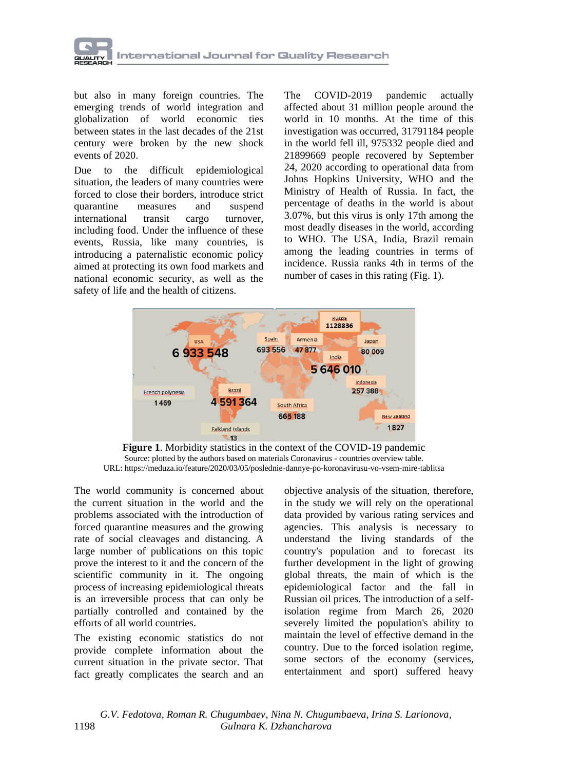

but also in many foreign countries. The emerging trends of world integration and globalization of world economic ties between states in the last decades of the 21st century were broken by the new shock events of 2020.

Due to the difficult epidemiological situation, the leaders of many countries were forced to close their borders, introduce strict quarantine measures and suspend international transit cargo turnover, including food. Under the influence of these events, Russia, like many countries, is introducing a paternalistic economic policy aimed at protecting its own food markets and national economic security, as well as the safety of life and the health of citizens.

The COVID-2019 pandemic actually affected about 31 million people around the world in 10 months. At the time of this investigation was occurred, 31791184 people in the world fell ill, 975332 people died and 21899669 people recovered by September 24, 2020 according to operational data from Johns Hopkins University, WHO and the Ministry of Health of Russia. In fact, the percentage of deaths in the world is about 3.07%, but this virus is only 17th among the most deadly diseases in the world, according to WHO. The USA, India, Brazil remain among the leading countries in terms of incidence. Russia ranks 4th in terms of the number of cases in this rating (Fig. 1).



**Figure 1**. Morbidity statistics in the context of the COVID-19 pandemic Source: plotted by the authors based on materials Coronavirus - countries overview table. URL: https://meduza.io/feature/2020/03/05/poslednie-dannye-po-koronavirusu-vo-vsem-mire-tablitsa

The world community is concerned about the current situation in the world and the problems associated with the introduction of forced quarantine measures and the growing rate of social cleavages and distancing. A large number of publications on this topic prove the interest to it and the concern of the scientific community in it. The ongoing process of increasing epidemiological threats is an irreversible process that can only be partially controlled and contained by the efforts of all world countries.

The existing economic statistics do not provide complete information about the current situation in the private sector. That fact greatly complicates the search and an

objective analysis of the situation, therefore, in the study we will rely on the operational data provided by various rating services and agencies. This analysis is necessary to understand the living standards of the country's population and to forecast its further development in the light of growing global threats, the main of which is the epidemiological factor and the fall in Russian oil prices. The introduction of a selfisolation regime from March 26, 2020 severely limited the population's ability to maintain the level of effective demand in the country. Due to the forced isolation regime, some sectors of the economy (services, entertainment and sport) suffered heavy

 *G.V. Fedotova, Roman R. Chugumbaev, Nina N. Chugumbaeva, Irina S. Larionova,*  1198 *Gulnara K. Dzhancharova*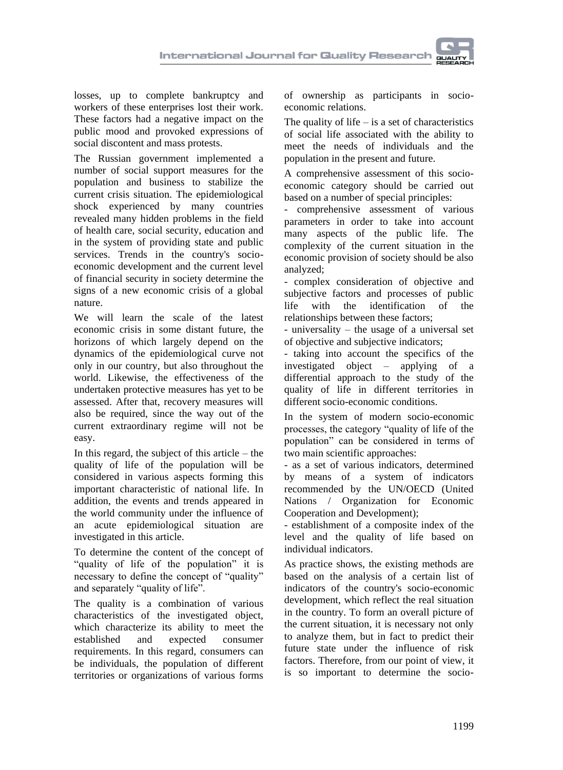losses, up to complete bankruptcy and workers of these enterprises lost their work. These factors had a negative impact on the public mood and provoked expressions of social discontent and mass protests.

The Russian government implemented a number of social support measures for the population and business to stabilize the current crisis situation. The epidemiological shock experienced by many countries revealed many hidden problems in the field of health care, social security, education and in the system of providing state and public services. Trends in the country's socioeconomic development and the current level of financial security in society determine the signs of a new economic crisis of a global nature.

We will learn the scale of the latest economic crisis in some distant future, the horizons of which largely depend on the dynamics of the epidemiological curve not only in our country, but also throughout the world. Likewise, the effectiveness of the undertaken protective measures has yet to be assessed. After that, recovery measures will also be required, since the way out of the current extraordinary regime will not be easy.

In this regard, the subject of this article  $-$  the quality of life of the population will be considered in various aspects forming this important characteristic of national life. In addition, the events and trends appeared in the world community under the influence of an acute epidemiological situation are investigated in this article.

To determine the content of the concept of "quality of life of the population" it is necessary to define the concept of "quality" and separately "quality of life".

The quality is a combination of various characteristics of the investigated object, which characterize its ability to meet the established and expected consumer requirements. In this regard, consumers can be individuals, the population of different territories or organizations of various forms

of ownership as participants in socioeconomic relations.

The quality of life  $-$  is a set of characteristics of social life associated with the ability to meet the needs of individuals and the population in the present and future.

A comprehensive assessment of this socioeconomic category should be carried out based on a number of special principles:

- comprehensive assessment of various parameters in order to take into account many aspects of the public life. The complexity of the current situation in the economic provision of society should be also analyzed;

- complex consideration of objective and subjective factors and processes of public life with the identification of the relationships between these factors;

- universality – the usage of a universal set of objective and subjective indicators;

taking into account the specifics of the investigated object – applying of a differential approach to the study of the quality of life in different territories in different socio-economic conditions.

In the system of modern socio-economic processes, the category "quality of life of the population" can be considered in terms of two main scientific approaches:

- as a set of various indicators, determined by means of a system of indicators recommended by the UN/OECD (United Nations / Organization for Economic Cooperation and Development);

- establishment of a composite index of the level and the quality of life based on individual indicators.

As practice shows, the existing methods are based on the analysis of a certain list of indicators of the country's socio-economic development, which reflect the real situation in the country. To form an overall picture of the current situation, it is necessary not only to analyze them, but in fact to predict their future state under the influence of risk factors. Therefore, from our point of view, it is so important to determine the socio-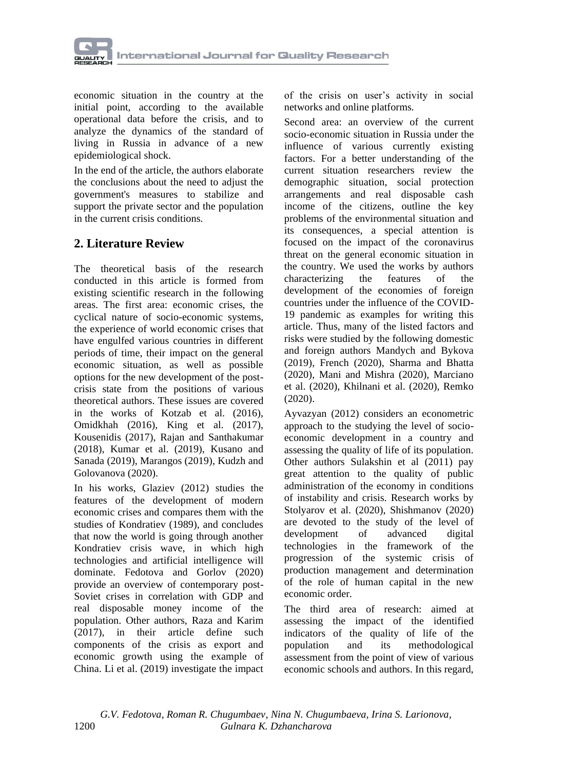

economic situation in the country at the initial point, according to the available operational data before the crisis, and to analyze the dynamics of the standard of living in Russia in advance of a new epidemiological shock.

In the end of the article, the authors elaborate the conclusions about the need to adjust the government's measures to stabilize and support the private sector and the population in the current crisis conditions.

## **2. Literature Review**

The theoretical basis of the research conducted in this article is formed from existing scientific research in the following areas. The first area: economic crises, the cyclical nature of socio-economic systems, the experience of world economic crises that have engulfed various countries in different periods of time, their impact on the general economic situation, as well as possible options for the new development of the postcrisis state from the positions of various theoretical authors. These issues are covered in the works of Kotzab et al. (2016), Omidkhah (2016), King et al. (2017), Kousenidis (2017), Rajan and Santhakumar (2018), Kumar et al. (2019), Kusano and Sanada (2019), Marangos (2019), Kudzh and Golovanova (2020).

In his works, Glaziev (2012) studies the features of the development of modern economic crises and compares them with the studies of Kondratiev (1989), and concludes that now the world is going through another Kondratiev crisis wave, in which high technologies and artificial intelligence will dominate. Fedotova and Gorlov (2020) provide an overview of contemporary post-Soviet crises in correlation with GDP and real disposable money income of the population. Other authors, Raza and Karim (2017), in their article define such components of the crisis as export and economic growth using the example of China. Li et al. (2019) investigate the impact

of the crisis on user's activity in social networks and online platforms.

Second area: an overview of the current socio-economic situation in Russia under the influence of various currently existing factors. For a better understanding of the current situation researchers review the demographic situation, social protection arrangements and real disposable cash income of the citizens, outline the key problems of the environmental situation and its consequences, a special attention is focused on the impact of the coronavirus threat on the general economic situation in the country. We used the works by authors characterizing the features of the development of the economies of foreign countries under the influence of the COVID-19 pandemic as examples for writing this article. Thus, many of the listed factors and risks were studied by the following domestic and foreign authors Mandych and Bykova (2019), French (2020), Sharma and Bhatta (2020), Mani and Mishra (2020), Marciano et al. (2020), Khilnani et al. (2020), Remko (2020).

Ayvazyan (2012) considers an econometric approach to the studying the level of socioeconomic development in a country and assessing the quality of life of its population. Other authors Sulakshin et al (2011) pay great attention to the quality of public administration of the economy in conditions of instability and crisis. Research works by Stolyarov et al. (2020), Shishmanov (2020) are devoted to the study of the level of development of advanced digital technologies in the framework of the progression of the systemic crisis of production management and determination of the role of human capital in the new economic order.

The third area of research: aimed at assessing the impact of the identified indicators of the quality of life of the population and its methodological assessment from the point of view of various economic schools and authors. In this regard,

 *G.V. Fedotova, Roman R. Chugumbaev, Nina N. Chugumbaeva, Irina S. Larionova,*  1200 *Gulnara K. Dzhancharova*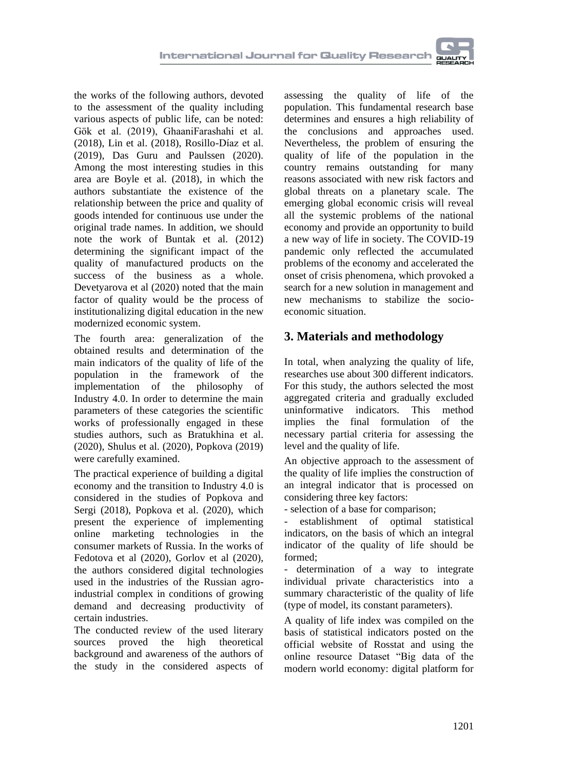the works of the following authors, devoted to the assessment of the quality including various aspects of public life, can be noted: Gök et al. (2019), GhaaniFarashahi et al. (2018), Lin et al. (2018), Rosillo-Díaz et al. (2019), Das Guru and Paulssen (2020). Among the most interesting studies in this area are Boyle et al. (2018), in which the authors substantiate the existence of the relationship between the price and quality of goods intended for continuous use under the original trade names. In addition, we should note the work of Buntak et al. (2012) determining the significant impact of the quality of manufactured products on the success of the business as a whole. Devetyarova et al (2020) noted that the main factor of quality would be the process of institutionalizing digital education in the new modernized economic system.

The fourth area: generalization of the obtained results and determination of the main indicators of the quality of life of the population in the framework of the implementation of the philosophy of Industry 4.0. In order to determine the main parameters of these categories the scientific works of professionally engaged in these studies authors, such as Bratukhina et al. (2020), Shulus et al. (2020), Popkova (2019) were carefully examined.

The practical experience of building a digital economy and the transition to Industry 4.0 is considered in the studies of Popkova and Sergi (2018), Popkova et al. (2020), which present the experience of implementing online marketing technologies in the consumer markets of Russia. In the works of Fedotova et al (2020), Gorlov et al (2020), the authors considered digital technologies used in the industries of the Russian agroindustrial complex in conditions of growing demand and decreasing productivity of certain industries.

The conducted review of the used literary sources proved the high theoretical background and awareness of the authors of the study in the considered aspects of

assessing the quality of life of the population. This fundamental research base determines and ensures a high reliability of the conclusions and approaches used. Nevertheless, the problem of ensuring the quality of life of the population in the country remains outstanding for many reasons associated with new risk factors and global threats on a planetary scale. The emerging global economic crisis will reveal all the systemic problems of the national economy and provide an opportunity to build a new way of life in society. The COVID-19 pandemic only reflected the accumulated problems of the economy and accelerated the onset of crisis phenomena, which provoked a search for a new solution in management and new mechanisms to stabilize the socioeconomic situation.

# **3. Materials and methodology**

In total, when analyzing the quality of life, researches use about 300 different indicators. For this study, the authors selected the most aggregated criteria and gradually excluded uninformative indicators. This method implies the final formulation of the necessary partial criteria for assessing the level and the quality of life.

An objective approach to the assessment of the quality of life implies the construction of an integral indicator that is processed on considering three key factors:

- selection of a base for comparison;

establishment of optimal statistical indicators, on the basis of which an integral indicator of the quality of life should be formed;

- determination of a way to integrate individual private characteristics into a summary characteristic of the quality of life (type of model, its constant parameters).

A quality of life index was compiled on the basis of statistical indicators posted on the official website of Rosstat and using the online resource Dataset "Big data of the modern world economy: digital platform for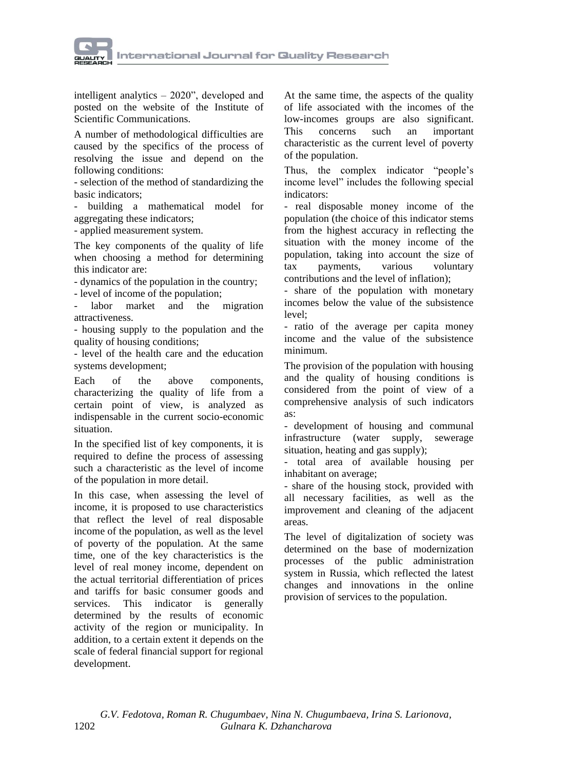

intelligent analytics – 2020", developed and posted on the website of the Institute of Scientific Communications.

A number of methodological difficulties are caused by the specifics of the process of resolving the issue and depend on the following conditions:

- selection of the method of standardizing the basic indicators;

- building a mathematical model for aggregating these indicators;

- applied measurement system.

The key components of the quality of life when choosing a method for determining this indicator are:

- dynamics of the population in the country;

- level of income of the population;

labor market and the migration attractiveness.

- housing supply to the population and the quality of housing conditions;

- level of the health care and the education systems development;

Each of the above components, characterizing the quality of life from a certain point of view, is analyzed as indispensable in the current socio-economic situation.

In the specified list of key components, it is required to define the process of assessing such a characteristic as the level of income of the population in more detail.

In this case, when assessing the level of income, it is proposed to use characteristics that reflect the level of real disposable income of the population, as well as the level of poverty of the population. At the same time, one of the key characteristics is the level of real money income, dependent on the actual territorial differentiation of prices and tariffs for basic consumer goods and services. This indicator is generally determined by the results of economic activity of the region or municipality. In addition, to a certain extent it depends on the scale of federal financial support for regional development.

At the same time, the aspects of the quality of life associated with the incomes of the low-incomes groups are also significant. This concerns such an important characteristic as the current level of poverty of the population.

Thus, the complex indicator "people's income level" includes the following special indicators:

- real disposable money income of the population (the choice of this indicator stems from the highest accuracy in reflecting the situation with the money income of the population, taking into account the size of tax payments, various voluntary contributions and the level of inflation);

- share of the population with monetary incomes below the value of the subsistence  $level:$ 

- ratio of the average per capita money income and the value of the subsistence minimum.

The provision of the population with housing and the quality of housing conditions is considered from the point of view of a comprehensive analysis of such indicators as:

- development of housing and communal infrastructure (water supply, sewerage situation, heating and gas supply);

- total area of available housing per inhabitant on average;

- share of the housing stock, provided with all necessary facilities, as well as the improvement and cleaning of the adjacent areas.

The level of digitalization of society was determined on the base of modernization processes of the public administration system in Russia, which reflected the latest changes and innovations in the online provision of services to the population.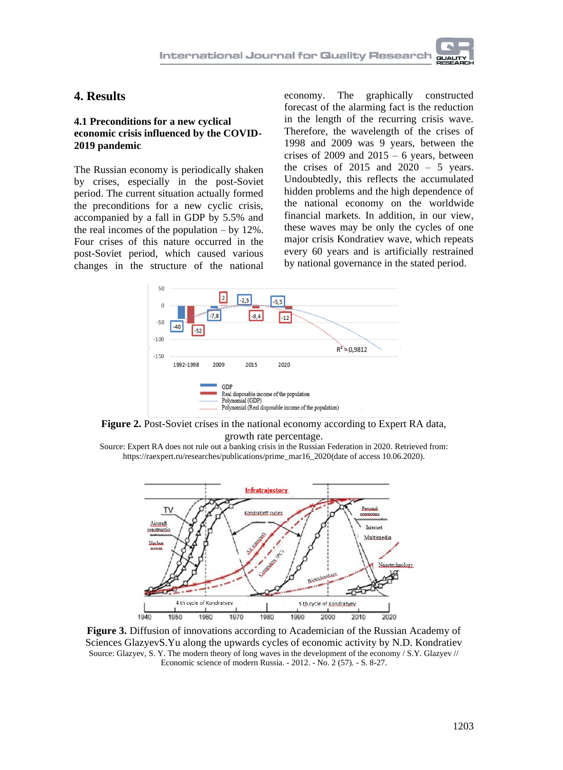## **4. Results**

### **4.1 Preconditions for a new cyclical economic crisis influenced by the COVID-2019 pandemic**

The Russian economy is periodically shaken by crises, especially in the post-Soviet period. The current situation actually formed the preconditions for a new cyclic crisis, accompanied by a fall in GDP by 5.5% and the real incomes of the population  $-$  by 12%. Four crises of this nature occurred in the post-Soviet period, which caused various changes in the structure of the national

economy. The graphically constructed forecast of the alarming fact is the reduction in the length of the recurring crisis wave. Therefore, the wavelength of the crises of 1998 and 2009 was 9 years, between the crises of 2009 and  $2015 - 6$  years, between the crises of  $2015$  and  $2020 - 5$  years. Undoubtedly, this reflects the accumulated hidden problems and the high dependence of the national economy on the worldwide financial markets. In addition, in our view, these waves may be only the cycles of one major crisis Kondratiev wave, which repeats every 60 years and is artificially restrained by national governance in the stated period.



**Figure 2.** Post-Soviet crises in the national economy according to Expert RA data, growth rate percentage.

Source: Expert RA does not rule out a banking crisis in the Russian Federation in 2020. Retrieved from: [https://raexpert.ru/researches/publications/prime\\_mar16\\_2020\(](https://raexpert.ru/researches/publications/prime_mar16_2020)date of access 10.06.2020).



**Figure 3.** Diffusion of innovations according to Academician of the Russian Academy of Sciences GlazyevS.Yu along the upwards cycles of economic activity by N.D. Kondratiev Source: Glazyev, S. Y. The modern theory of long waves in the development of the economy / S.Y. Glazyev // Economic science of modern Russia. - 2012. - No. 2 (57). - S. 8-27.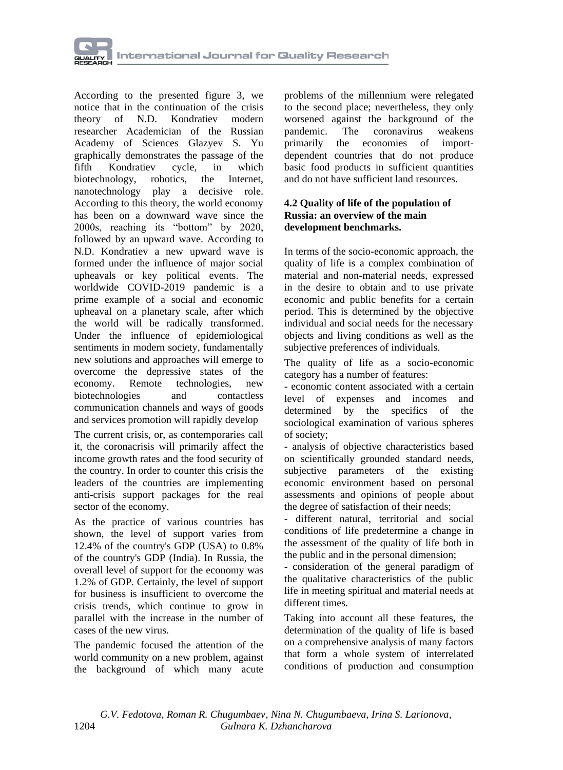

According to the presented figure 3, we notice that in the continuation of the crisis theory of N.D. Kondratiev modern researcher Academician of the Russian Academy of Sciences Glazyev S. Yu graphically demonstrates the passage of the fifth Kondratiev cycle, in which biotechnology, robotics, the Internet, nanotechnology play a decisive role. According to this theory, the world economy has been on a downward wave since the 2000s, reaching its "bottom" by 2020, followed by an upward wave. According to N.D. Kondratiev a new upward wave is formed under the influence of major social upheavals or key political events. The worldwide COVID-2019 pandemic is a prime example of a social and economic upheaval on a planetary scale, after which the world will be radically transformed. Under the influence of epidemiological sentiments in modern society, fundamentally new solutions and approaches will emerge to overcome the depressive states of the economy. Remote technologies, new biotechnologies and contactless communication channels and ways of goods and services promotion will rapidly develop

The current crisis, or, as contemporaries call it, the coronacrisis will primarily affect the income growth rates and the food security of the country. In order to counter this crisis the leaders of the countries are implementing anti-crisis support packages for the real sector of the economy.

As the practice of various countries has shown, the level of support varies from 12.4% of the country's GDP (USA) to 0.8% of the country's GDP (India). In Russia, the overall level of support for the economy was 1.2% of GDP. Certainly, the level of support for business is insufficient to overcome the crisis trends, which continue to grow in parallel with the increase in the number of cases of the new virus.

The pandemic focused the attention of the world community on a new problem, against the background of which many acute

problems of the millennium were relegated to the second place; nevertheless, they only worsened against the background of the pandemic. The coronavirus weakens primarily the economies of importdependent countries that do not produce basic food products in sufficient quantities and do not have sufficient land resources.

### **4.2 Quality of life of the population of Russia: an overview of the main development benchmarks.**

In terms of the socio-economic approach, the quality of life is a complex combination of material and non-material needs, expressed in the desire to obtain and to use private economic and public benefits for a certain period. This is determined by the objective individual and social needs for the necessary objects and living conditions as well as the subjective preferences of individuals.

The quality of life as a socio-economic category has a number of features:

- economic content associated with a certain level of expenses and incomes and determined by the specifics of the sociological examination of various spheres of society;

- analysis of objective characteristics based on scientifically grounded standard needs, subjective parameters of the existing economic environment based on personal assessments and opinions of people about the degree of satisfaction of their needs;

- different natural, territorial and social conditions of life predetermine a change in the assessment of the quality of life both in the public and in the personal dimension;

- consideration of the general paradigm of the qualitative characteristics of the public life in meeting spiritual and material needs at different times.

Taking into account all these features, the determination of the quality of life is based on a comprehensive analysis of many factors that form a whole system of interrelated conditions of production and consumption

 *G.V. Fedotova, Roman R. Chugumbaev, Nina N. Chugumbaeva, Irina S. Larionova,*  1204 *Gulnara K. Dzhancharova*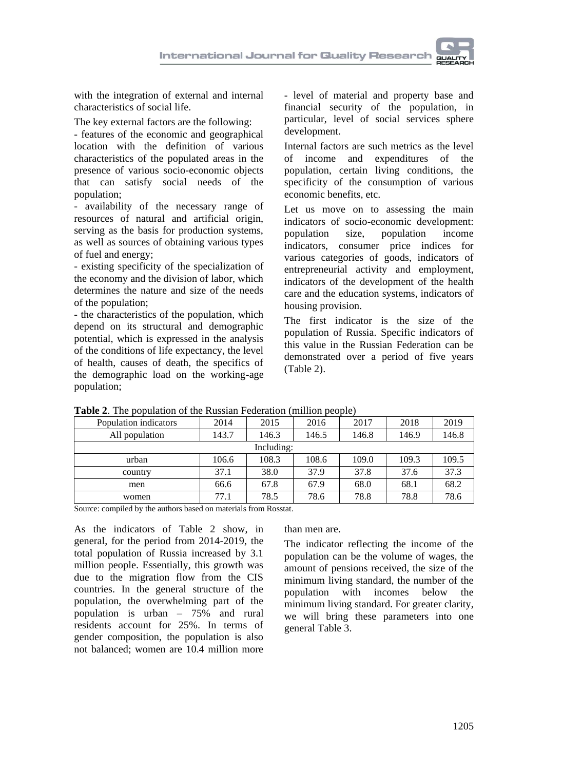

with the integration of external and internal characteristics of social life.

The key external factors are the following:

- features of the economic and geographical location with the definition of various characteristics of the populated areas in the presence of various socio-economic objects that can satisfy social needs of the population;

- availability of the necessary range of resources of natural and artificial origin, serving as the basis for production systems, as well as sources of obtaining various types of fuel and energy;

- existing specificity of the specialization of the economy and the division of labor, which determines the nature and size of the needs of the population;

- the characteristics of the population, which depend on its structural and demographic potential, which is expressed in the analysis of the conditions of life expectancy, the level of health, causes of death, the specifics of the demographic load on the working-age population;

- level of material and property base and financial security of the population, in particular, level of social services sphere development.

Internal factors are such metrics as the level of income and expenditures of the population, certain living conditions, the specificity of the consumption of various economic benefits, etc.

Let us move on to assessing the main indicators of socio-economic development: population size, population income indicators, consumer price indices for various categories of goods, indicators of entrepreneurial activity and employment, indicators of the development of the health care and the education systems, indicators of housing provision.

The first indicator is the size of the population of Russia. Specific indicators of this value in the Russian Federation can be demonstrated over a period of five years (Table 2).

| Population indicators | 2014  | 2015       | 2016  | 2017  | 2018  | 2019  |
|-----------------------|-------|------------|-------|-------|-------|-------|
| All population        | 143.7 | 146.3      | 146.5 | 146.8 | 146.9 | 146.8 |
|                       |       | Including: |       |       |       |       |
| urban                 | 106.6 | 108.3      | 108.6 | 109.0 | 109.3 | 109.5 |
| country               | 37.1  | 38.0       | 37.9  | 37.8  | 37.6  | 37.3  |
| men                   | 66.6  | 67.8       | 67.9  | 68.0  | 68.1  | 68.2  |
| women                 | 77.1  | 78.5       | 78.6  | 78.8  | 78.8  | 78.6  |

**Table 2**. The population of the Russian Federation (million people)

Source: compiled by the authors based on materials from Rosstat.

As the indicators of Table 2 show, in general, for the period from 2014-2019, the total population of Russia increased by 3.1 million people. Essentially, this growth was due to the migration flow from the CIS countries. In the general structure of the population, the overwhelming part of the population is urban – 75% and rural residents account for 25%. In terms of gender composition, the population is also not balanced; women are 10.4 million more

than men are.

The indicator reflecting the income of the population can be the volume of wages, the amount of pensions received, the size of the minimum living standard, the number of the<br>population with incomes below the incomes below the minimum living standard. For greater clarity, we will bring these parameters into one general Table 3.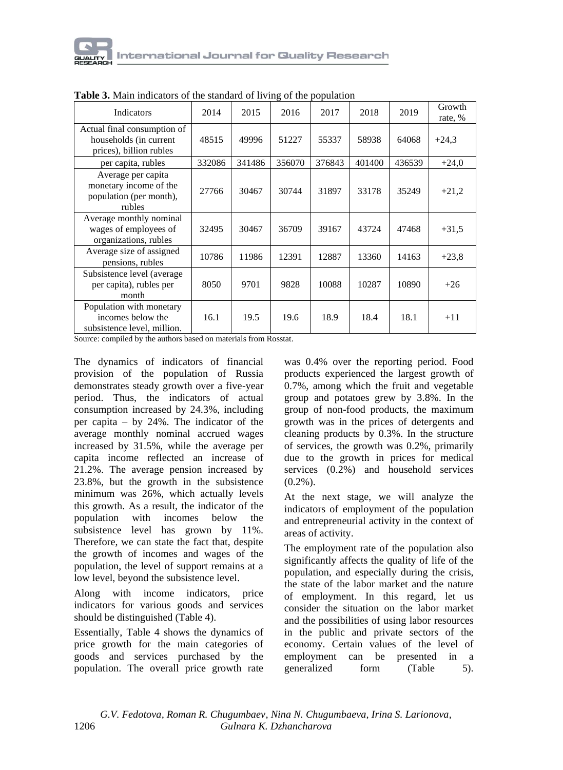

| <b>THEIR OF MAIN INCREASED OF THE SUMMARY OF HYTHE OF THE POPULATION</b>          |        |        |        |        |        |        |                   |
|-----------------------------------------------------------------------------------|--------|--------|--------|--------|--------|--------|-------------------|
| Indicators                                                                        | 2014   | 2015   | 2016   | 2017   | 2018   | 2019   | Growth<br>rate, % |
| Actual final consumption of<br>households (in current<br>prices), billion rubles  | 48515  | 49996  | 51227  | 55337  | 58938  | 64068  | $+24,3$           |
| per capita, rubles                                                                | 332086 | 341486 | 356070 | 376843 | 401400 | 436539 | $+24,0$           |
| Average per capita<br>monetary income of the<br>population (per month),<br>rubles | 27766  | 30467  | 30744  | 31897  | 33178  | 35249  | $+21,2$           |
| Average monthly nominal<br>wages of employees of<br>organizations, rubles         | 32495  | 30467  | 36709  | 39167  | 43724  | 47468  | $+31,5$           |
| Average size of assigned<br>pensions, rubles                                      | 10786  | 11986  | 12391  | 12887  | 13360  | 14163  | $+23.8$           |
| Subsistence level (average)<br>per capita), rubles per<br>month                   | 8050   | 9701   | 9828   | 10088  | 10287  | 10890  | $+26$             |
| Population with monetary<br>incomes below the<br>subsistence level, million.      | 16.1   | 19.5   | 19.6   | 18.9   | 18.4   | 18.1   | $+11$             |

**Table 3.** Main indicators of the standard of living of the population

Source: compiled by the authors based on materials from Rosstat.

The dynamics of indicators of financial provision of the population of Russia demonstrates steady growth over a five-year period. Thus, the indicators of actual consumption increased by 24.3%, including per capita – by 24%. The indicator of the average monthly nominal accrued wages increased by 31.5%, while the average per capita income reflected an increase of 21.2%. The average pension increased by 23.8%, but the growth in the subsistence minimum was 26%, which actually levels this growth. As a result, the indicator of the population with incomes below the subsistence level has grown by 11%. Therefore, we can state the fact that, despite the growth of incomes and wages of the population, the level of support remains at a low level, beyond the subsistence level.

Along with income indicators, price indicators for various goods and services should be distinguished (Table 4).

Essentially, Table 4 shows the dynamics of price growth for the main categories of goods and services purchased by the population. The overall price growth rate

was 0.4% over the reporting period. Food products experienced the largest growth of 0.7%, among which the fruit and vegetable group and potatoes grew by 3.8%. In the group of non-food products, the maximum growth was in the prices of detergents and cleaning products by 0.3%. In the structure of services, the growth was 0.2%, primarily due to the growth in prices for medical services (0.2%) and household services  $(0.2\%)$ .

At the next stage, we will analyze the indicators of employment of the population and entrepreneurial activity in the context of areas of activity.

The employment rate of the population also significantly affects the quality of life of the population, and especially during the crisis, the state of the labor market and the nature of employment. In this regard, let us consider the situation on the labor market and the possibilities of using labor resources in the public and private sectors of the economy. Certain values of the level of employment can be presented in a generalized form (Table 5).

 *G.V. Fedotova, Roman R. Chugumbaev, Nina N. Chugumbaeva, Irina S. Larionova,*  1206 *Gulnara K. Dzhancharova*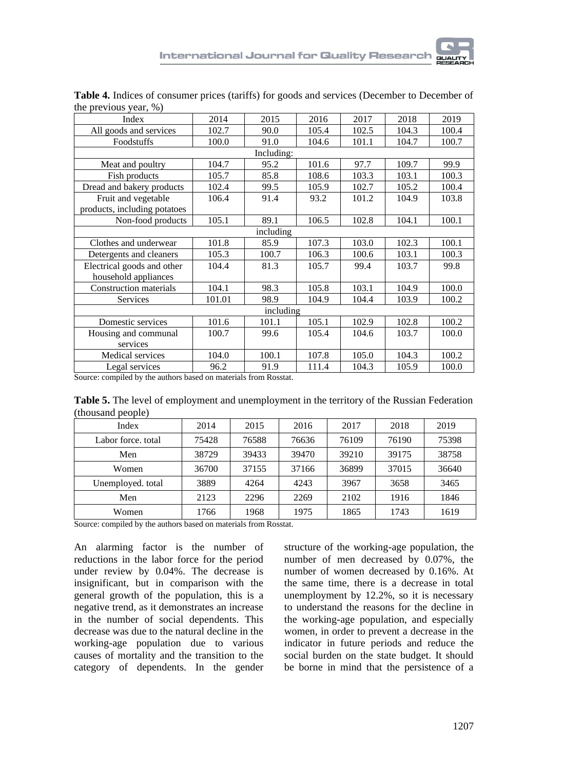| Index                        | 2014   | 2015       | 2016  | 2017  | 2018  | 2019  |
|------------------------------|--------|------------|-------|-------|-------|-------|
| All goods and services       | 102.7  | 90.0       | 105.4 | 102.5 | 104.3 | 100.4 |
| Foodstuffs                   | 100.0  | 91.0       | 104.6 | 101.1 | 104.7 | 100.7 |
|                              |        | Including: |       |       |       |       |
| Meat and poultry             | 104.7  | 95.2       | 101.6 | 97.7  | 109.7 | 99.9  |
| Fish products                | 105.7  | 85.8       | 108.6 | 103.3 | 103.1 | 100.3 |
| Dread and bakery products    | 102.4  | 99.5       | 105.9 | 102.7 | 105.2 | 100.4 |
| Fruit and vegetable          | 106.4  | 91.4       | 93.2  | 101.2 | 104.9 | 103.8 |
| products, including potatoes |        |            |       |       |       |       |
| Non-food products            | 105.1  | 89.1       | 106.5 | 102.8 | 104.1 | 100.1 |
|                              |        | including  |       |       |       |       |
| Clothes and underwear        | 101.8  | 85.9       | 107.3 | 103.0 | 102.3 | 100.1 |
| Detergents and cleaners      | 105.3  | 100.7      | 106.3 | 100.6 | 103.1 | 100.3 |
| Electrical goods and other   | 104.4  | 81.3       | 105.7 | 99.4  | 103.7 | 99.8  |
| household appliances         |        |            |       |       |       |       |
| Construction materials       | 104.1  | 98.3       | 105.8 | 103.1 | 104.9 | 100.0 |
| Services                     | 101.01 | 98.9       | 104.9 | 104.4 | 103.9 | 100.2 |
|                              |        | including  |       |       |       |       |
| Domestic services            | 101.6  | 101.1      | 105.1 | 102.9 | 102.8 | 100.2 |
| Housing and communal         | 100.7  | 99.6       | 105.4 | 104.6 | 103.7 | 100.0 |
| services                     |        |            |       |       |       |       |
| <b>Medical services</b>      | 104.0  | 100.1      | 107.8 | 105.0 | 104.3 | 100.2 |
| Legal services               | 96.2   | 91.9       | 111.4 | 104.3 | 105.9 | 100.0 |

**Table 4.** Indices of consumer prices (tariffs) for goods and services (December to December of the previous year, %)

Source: compiled by the authors based on materials from Rosstat.

**Table 5.** The level of employment and unemployment in the territory of the Russian Federation (thousand people)

| Index              | 2014  | 2015  | 2016  | 2017  | 2018  | 2019  |
|--------------------|-------|-------|-------|-------|-------|-------|
| Labor force, total | 75428 | 76588 | 76636 | 76109 | 76190 | 75398 |
| Men                | 38729 | 39433 | 39470 | 39210 | 39175 | 38758 |
| Women              | 36700 | 37155 | 37166 | 36899 | 37015 | 36640 |
| Unemployed. total  | 3889  | 4264  | 4243  | 3967  | 3658  | 3465  |
| Men                | 2123  | 2296  | 2269  | 2102  | 1916  | 1846  |
| Women              | 1766  | 1968  | 1975  | 1865  | 1743  | 1619  |

Source: compiled by the authors based on materials from Rosstat.

An alarming factor is the number of reductions in the labor force for the period under review by 0.04%. The decrease is insignificant, but in comparison with the general growth of the population, this is a negative trend, as it demonstrates an increase in the number of social dependents. This decrease was due to the natural decline in the working-age population due to various causes of mortality and the transition to the category of dependents. In the gender

structure of the working-age population, the number of men decreased by 0.07%, the number of women decreased by 0.16%. At the same time, there is a decrease in total unemployment by 12.2%, so it is necessary to understand the reasons for the decline in the working-age population, and especially women, in order to prevent a decrease in the indicator in future periods and reduce the social burden on the state budget. It should be borne in mind that the persistence of a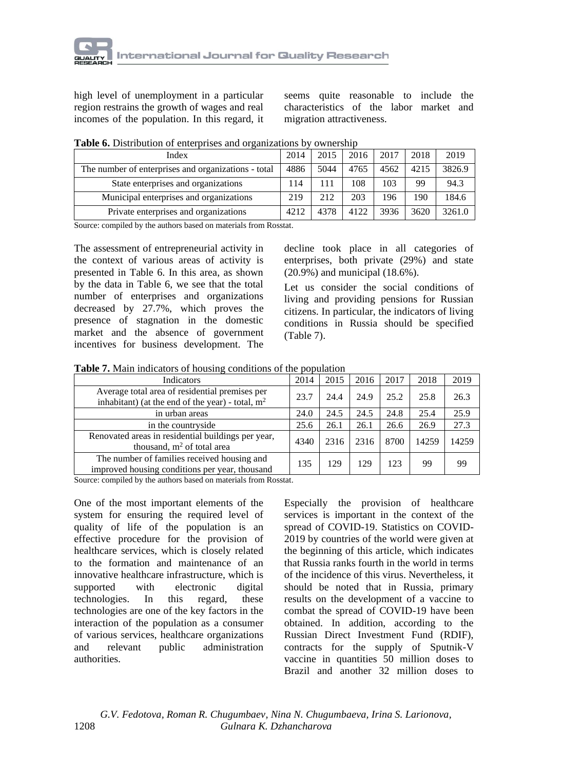high level of unemployment in a particular region restrains the growth of wages and real incomes of the population. In this regard, it

seems quite reasonable to include the characteristics of the labor market and migration attractiveness.

| Index                                               | 2014 | 2015 | 2016 | 2017 | 2018 | 2019   |
|-----------------------------------------------------|------|------|------|------|------|--------|
| The number of enterprises and organizations - total | 4886 | 5044 | 4765 | 4562 | 4215 | 3826.9 |
| State enterprises and organizations                 | 114  |      | 108  | 103  | 99   | 94.3   |
| Municipal enterprises and organizations             | 219  | 212  | 203  | 196  | 190  | 184.6  |
| Private enterprises and organizations               | 4212 | 4378 | 4122 | 3936 | 3620 | 3261.0 |

**Table 6.** Distribution of enterprises and organizations by ownership

Source: compiled by the authors based on materials from Rosstat.

The assessment of entrepreneurial activity in the context of various areas of activity is presented in Table 6. In this area, as shown by the data in Table 6, we see that the total number of enterprises and organizations decreased by 27.7%, which proves the presence of stagnation in the domestic market and the absence of government incentives for business development. The decline took place in all categories of enterprises, both private (29%) and state (20.9%) and municipal (18.6%).

Let us consider the social conditions of living and providing pensions for Russian citizens. In particular, the indicators of living conditions in Russia should be specified (Table 7).

**Table 7.** Main indicators of housing conditions of the population

| Indicators                                                                                           | 2014 | 2015 | 2016 | 2017 | 2018  | 2019  |
|------------------------------------------------------------------------------------------------------|------|------|------|------|-------|-------|
| Average total area of residential premises per<br>inhabitant) (at the end of the year) - total, $m2$ | 23.7 | 24.4 | 24.9 | 25.2 | 25.8  | 26.3  |
| in urban areas                                                                                       | 24.0 | 24.5 | 24.5 | 24.8 | 25.4  | 25.9  |
| in the countryside                                                                                   | 25.6 | 26.1 | 26.1 | 26.6 | 26.9  | 27.3  |
| Renovated areas in residential buildings per year,<br>thousand, $m2$ of total area                   | 4340 | 2316 | 2316 | 8700 | 14259 | 14259 |
| The number of families received housing and<br>improved housing conditions per year, thousand        | 135  | 129  | 129  | 123  | 99    | 99    |

Source: compiled by the authors based on materials from Rosstat.

One of the most important elements of the system for ensuring the required level of quality of life of the population is an effective procedure for the provision of healthcare services, which is closely related to the formation and maintenance of an innovative healthcare infrastructure, which is supported with electronic digital technologies. In this regard, these technologies are one of the key factors in the interaction of the population as a consumer of various services, healthcare organizations and relevant public administration authorities.

Especially the provision of healthcare services is important in the context of the spread of COVID-19. Statistics on COVID-2019 by countries of the world were given at the beginning of this article, which indicates that Russia ranks fourth in the world in terms of the incidence of this virus. Nevertheless, it should be noted that in Russia, primary results on the development of a vaccine to combat the spread of COVID-19 have been obtained. In addition, according to the Russian Direct Investment Fund (RDIF), contracts for the supply of Sputnik-V vaccine in quantities 50 million doses to Brazil and another 32 million doses to

 *G.V. Fedotova, Roman R. Chugumbaev, Nina N. Chugumbaeva, Irina S. Larionova,*  1208 *Gulnara K. Dzhancharova*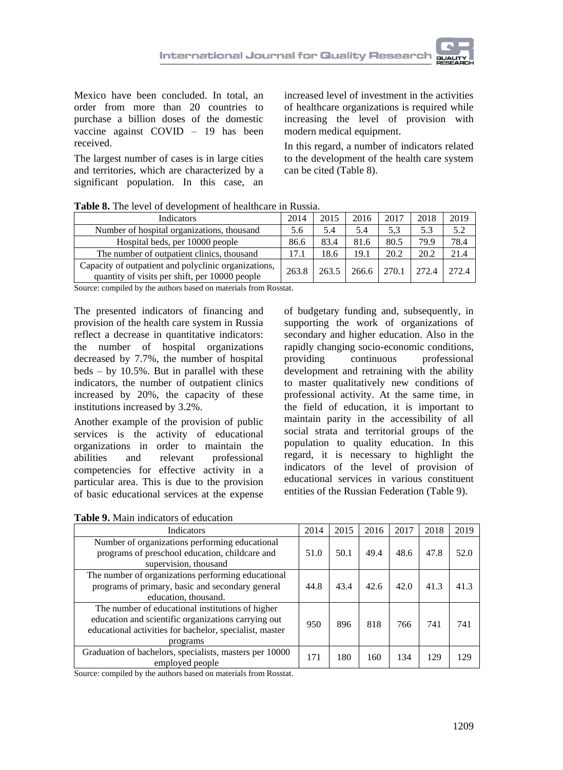Mexico have been concluded. In total, an order from more than 20 countries to purchase a billion doses of the domestic vaccine against COVID – 19 has been received.

The largest number of cases is in large cities and territories, which are characterized by a significant population. In this case, an

increased level of investment in the activities of healthcare organizations is required while increasing the level of provision with modern medical equipment.

In this regard, a number of indicators related to the development of the health care system can be cited (Table 8).

| Table 8. The level of development of healthcare in Russia. |  |  |
|------------------------------------------------------------|--|--|
|------------------------------------------------------------|--|--|

| Indicators                                                                                             | 2014  | 2015  | 2016  | 2017  | 2018  | 2019  |
|--------------------------------------------------------------------------------------------------------|-------|-------|-------|-------|-------|-------|
| Number of hospital organizations, thousand                                                             | 5.6   | 5.4   | 5.4   | 5.3   | 5.3   | 5.2   |
| Hospital beds, per 10000 people                                                                        | 86.6  | 83.4  | 81.6  | 80.5  | 79.9  | 78.4  |
| The number of outpatient clinics, thousand                                                             | 17.1  | 18.6  | 19.1  | 20.2  | 20.2  | 21.4  |
| Capacity of outpatient and polyclinic organizations,<br>quantity of visits per shift, per 10000 people | 263.8 | 263.5 | 266.6 | 270.1 | 272.4 | 272.4 |

Source: compiled by the authors based on materials from Rosstat.

The presented indicators of financing and provision of the health care system in Russia reflect a decrease in quantitative indicators: the number of hospital organizations decreased by 7.7%, the number of hospital beds – by 10.5%. But in parallel with these indicators, the number of outpatient clinics increased by 20%, the capacity of these institutions increased by 3.2%.

Another example of the provision of public services is the activity of educational organizations in order to maintain the abilities and relevant professional competencies for effective activity in a particular area. This is due to the provision of basic educational services at the expense

of budgetary funding and, subsequently, in supporting the work of organizations of secondary and higher education. Also in the rapidly changing socio-economic conditions, providing continuous professional development and retraining with the ability to master qualitatively new conditions of professional activity. At the same time, in the field of education, it is important to maintain parity in the accessibility of all social strata and territorial groups of the population to quality education. In this regard, it is necessary to highlight the indicators of the level of provision of educational services in various constituent entities of the Russian Federation (Table 9).

**Table 9.** Main indicators of education

| <b>Indicators</b>                                       | 2014 | 2015 | 2016 | 2017 | 2018 | 2019 |
|---------------------------------------------------------|------|------|------|------|------|------|
| Number of organizations performing educational          |      |      |      |      |      |      |
| programs of preschool education, childcare and          | 51.0 | 50.1 | 49.4 | 48.6 | 47.8 | 52.0 |
| supervision, thousand                                   |      |      |      |      |      |      |
| The number of organizations performing educational      |      |      |      |      |      |      |
| programs of primary, basic and secondary general        | 44.8 | 43.4 | 42.6 | 42.0 | 41.3 | 41.3 |
| education, thousand.                                    |      |      |      |      |      |      |
| The number of educational institutions of higher        |      |      |      |      |      |      |
| education and scientific organizations carrying out     | 950  | 896  | 818  | 766  | 741  | 741  |
| educational activities for bachelor, specialist, master |      |      |      |      |      |      |
| programs                                                |      |      |      |      |      |      |
| Graduation of bachelors, specialists, masters per 10000 | 171  | 180  | 160  | 134  | 129  | 129  |
| employed people                                         |      |      |      |      |      |      |

Source: compiled by the authors based on materials from Rosstat.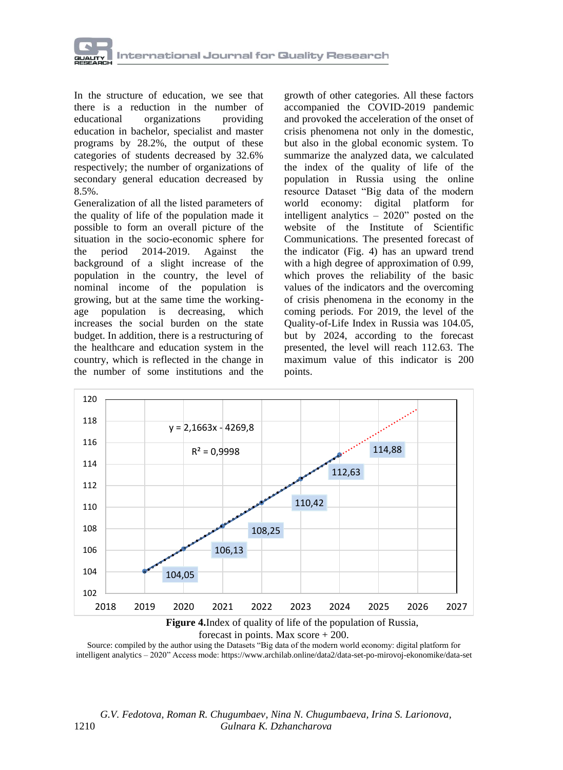

In the structure of education, we see that there is a reduction in the number of educational organizations providing education in bachelor, specialist and master programs by 28.2%, the output of these categories of students decreased by 32.6% respectively; the number of organizations of secondary general education decreased by 8.5%.

Generalization of all the listed parameters of the quality of life of the population made it possible to form an overall picture of the situation in the socio-economic sphere for the period 2014-2019. Against the background of a slight increase of the population in the country, the level of nominal income of the population is growing, but at the same time the workingage population is decreasing, which increases the social burden on the state budget. In addition, there is a restructuring of the healthcare and education system in the country, which is reflected in the change in the number of some institutions and the

growth of other categories. All these factors accompanied the COVID-2019 pandemic and provoked the acceleration of the onset of crisis phenomena not only in the domestic, but also in the global economic system. To summarize the analyzed data, we calculated the index of the quality of life of the population in Russia using the online resource Dataset "Big data of the modern world economy: digital platform for intelligent analytics – 2020" posted on the website of the Institute of Scientific Communications. The presented forecast of the indicator (Fig. 4) has an upward trend with a high degree of approximation of 0.99, which proves the reliability of the basic values of the indicators and the overcoming of crisis phenomena in the economy in the coming periods. For 2019, the level of the Quality-of-Life Index in Russia was 104.05, but by 2024, according to the forecast presented, the level will reach 112.63. The maximum value of this indicator is 200 points.



forecast in points. Max score + 200.

Source: compiled by the author using the Datasets "Big data of the modern world economy: digital platform for intelligent analytics – 2020" Access mode: <https://www.archilab.online/data2/data-set-po-mirovoj-ekonomike/data-set>

 *G.V. Fedotova, Roman R. Chugumbaev, Nina N. Chugumbaeva, Irina S. Larionova,*  1210 *Gulnara K. Dzhancharova*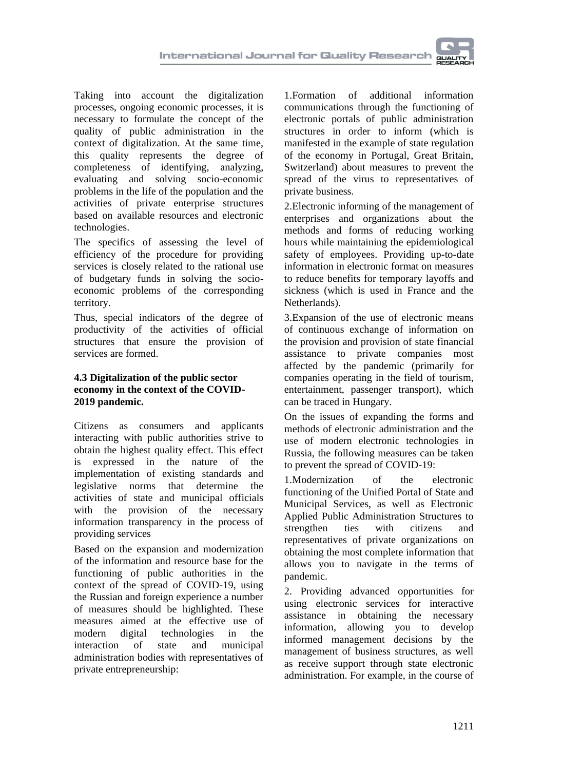Taking into account the digitalization processes, ongoing economic processes, it is necessary to formulate the concept of the quality of public administration in the context of digitalization. At the same time, this quality represents the degree of completeness of identifying, analyzing, evaluating and solving socio-economic problems in the life of the population and the activities of private enterprise structures based on available resources and electronic technologies.

The specifics of assessing the level of efficiency of the procedure for providing services is closely related to the rational use of budgetary funds in solving the socioeconomic problems of the corresponding territory.

Thus, special indicators of the degree of productivity of the activities of official structures that ensure the provision of services are formed.

### **4.3 Digitalization of the public sector economy in the context of the COVID-2019 pandemic.**

Citizens as consumers and applicants interacting with public authorities strive to obtain the highest quality effect. This effect is expressed in the nature of the implementation of existing standards and legislative norms that determine the activities of state and municipal officials with the provision of the necessary information transparency in the process of providing services

Based on the expansion and modernization of the information and resource base for the functioning of public authorities in the context of the spread of COVID-19, using the Russian and foreign experience a number of measures should be highlighted. These measures aimed at the effective use of modern digital technologies in the interaction of state and municipal administration bodies with representatives of private entrepreneurship:

1.Formation of additional information communications through the functioning of electronic portals of public administration structures in order to inform (which is manifested in the example of state regulation of the economy in Portugal, Great Britain, Switzerland) about measures to prevent the spread of the virus to representatives of private business.

2.Electronic informing of the management of enterprises and organizations about the methods and forms of reducing working hours while maintaining the epidemiological safety of employees. Providing up-to-date information in electronic format on measures to reduce benefits for temporary layoffs and sickness (which is used in France and the Netherlands).

3.Expansion of the use of electronic means of continuous exchange of information on the provision and provision of state financial assistance to private companies most affected by the pandemic (primarily for companies operating in the field of tourism, entertainment, passenger transport), which can be traced in Hungary.

On the issues of expanding the forms and methods of electronic administration and the use of modern electronic technologies in Russia, the following measures can be taken to prevent the spread of COVID-19:

1.Modernization of the electronic functioning of the Unified Portal of State and Municipal Services, as well as Electronic Applied Public Administration Structures to strengthen ties with citizens and representatives of private organizations on obtaining the most complete information that allows you to navigate in the terms of pandemic.

2. Providing advanced opportunities for using electronic services for interactive assistance in obtaining the necessary information, allowing you to develop informed management decisions by the management of business structures, as well as receive support through state electronic administration. For example, in the course of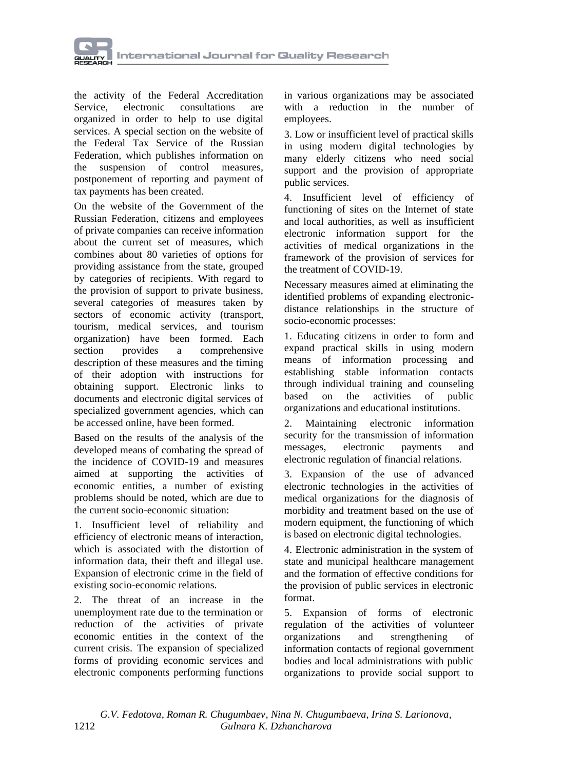

the activity of the Federal Accreditation Service, electronic consultations are organized in order to help to use digital services. A special section on the website of the Federal Tax Service of the Russian Federation, which publishes information on the suspension of control measures, postponement of reporting and payment of tax payments has been created.

On the website of the Government of the Russian Federation, citizens and employees of private companies can receive information about the current set of measures, which combines about 80 varieties of options for providing assistance from the state, grouped by categories of recipients. With regard to the provision of support to private business, several categories of measures taken by sectors of economic activity (transport, tourism, medical services, and tourism organization) have been formed. Each section provides a comprehensive description of these measures and the timing of their adoption with instructions for obtaining support. Electronic links to documents and electronic digital services of specialized government agencies, which can be accessed online, have been formed.

Based on the results of the analysis of the developed means of combating the spread of the incidence of COVID-19 and measures aimed at supporting the activities of economic entities, a number of existing problems should be noted, which are due to the current socio-economic situation:

1. Insufficient level of reliability and efficiency of electronic means of interaction, which is associated with the distortion of information data, their theft and illegal use. Expansion of electronic crime in the field of existing socio-economic relations.

2. The threat of an increase in the unemployment rate due to the termination or reduction of the activities of private economic entities in the context of the current crisis. The expansion of specialized forms of providing economic services and electronic components performing functions

in various organizations may be associated with a reduction in the number of employees.

3. Low or insufficient level of practical skills in using modern digital technologies by many elderly citizens who need social support and the provision of appropriate public services.

4. Insufficient level of efficiency of functioning of sites on the Internet of state and local authorities, as well as insufficient electronic information support for the activities of medical organizations in the framework of the provision of services for the treatment of COVID-19.

Necessary measures aimed at eliminating the identified problems of expanding electronicdistance relationships in the structure of socio-economic processes:

1. Educating citizens in order to form and expand practical skills in using modern means of information processing and establishing stable information contacts through individual training and counseling based on the activities of public organizations and educational institutions.

2. Maintaining electronic information security for the transmission of information messages, electronic payments and electronic regulation of financial relations.

3. Expansion of the use of advanced electronic technologies in the activities of medical organizations for the diagnosis of morbidity and treatment based on the use of modern equipment, the functioning of which is based on electronic digital technologies.

4. Electronic administration in the system of state and municipal healthcare management and the formation of effective conditions for the provision of public services in electronic format.

5. Expansion of forms of electronic regulation of the activities of volunteer organizations and strengthening of information contacts of regional government bodies and local administrations with public organizations to provide social support to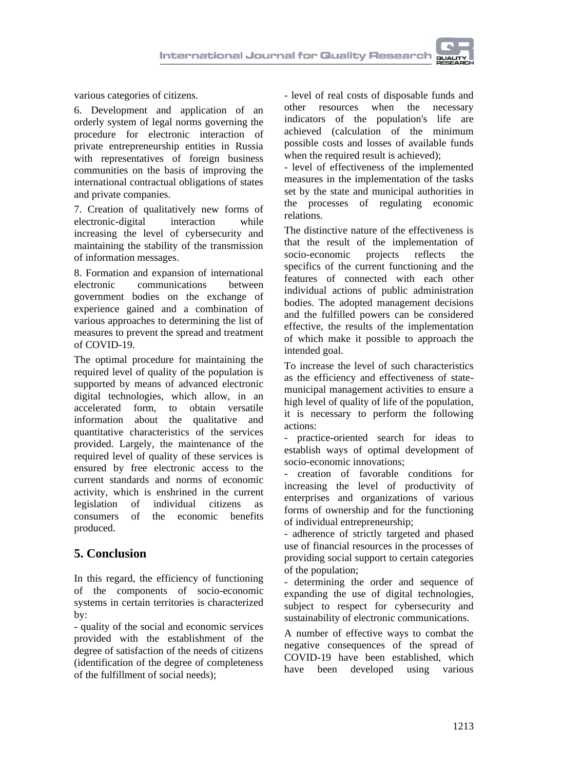various categories of citizens.

6. Development and application of an orderly system of legal norms governing the procedure for electronic interaction of private entrepreneurship entities in Russia with representatives of foreign business communities on the basis of improving the international contractual obligations of states and private companies.

7. Creation of qualitatively new forms of electronic-digital interaction while increasing the level of cybersecurity and maintaining the stability of the transmission of information messages.

8. Formation and expansion of international electronic communications between government bodies on the exchange of experience gained and a combination of various approaches to determining the list of measures to prevent the spread and treatment of COVID-19.

The optimal procedure for maintaining the required level of quality of the population is supported by means of advanced electronic digital technologies, which allow, in an accelerated form, to obtain versatile information about the qualitative and quantitative characteristics of the services provided. Largely, the maintenance of the required level of quality of these services is ensured by free electronic access to the current standards and norms of economic activity, which is enshrined in the current legislation of individual citizens as consumers of the economic benefits produced.

## **5. Conclusion**

In this regard, the efficiency of functioning of the components of socio-economic systems in certain territories is characterized by:

- quality of the social and economic services provided with the establishment of the degree of satisfaction of the needs of citizens (identification of the degree of completeness of the fulfillment of social needs);

- level of real costs of disposable funds and other resources when the necessary indicators of the population's life are achieved (calculation of the minimum possible costs and losses of available funds when the required result is achieved);

- level of effectiveness of the implemented measures in the implementation of the tasks set by the state and municipal authorities in the processes of regulating economic relations.

The distinctive nature of the effectiveness is that the result of the implementation of socio-economic projects reflects the specifics of the current functioning and the features of connected with each other individual actions of public administration bodies. The adopted management decisions and the fulfilled powers can be considered effective, the results of the implementation of which make it possible to approach the intended goal.

To increase the level of such characteristics as the efficiency and effectiveness of statemunicipal management activities to ensure a high level of quality of life of the population, it is necessary to perform the following actions:

practice-oriented search for ideas to establish ways of optimal development of socio-economic innovations;

- creation of favorable conditions for increasing the level of productivity of enterprises and organizations of various forms of ownership and for the functioning of individual entrepreneurship;

- adherence of strictly targeted and phased use of financial resources in the processes of providing social support to certain categories of the population;

- determining the order and sequence of expanding the use of digital technologies, subject to respect for cybersecurity and sustainability of electronic communications.

A number of effective ways to combat the negative consequences of the spread of COVID-19 have been established, which have been developed using various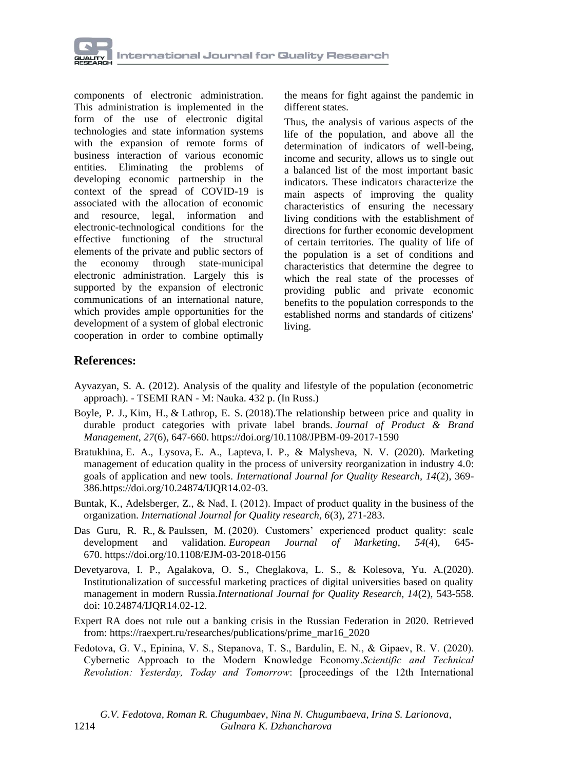

components of electronic administration. This administration is implemented in the form of the use of electronic digital technologies and state information systems with the expansion of remote forms of business interaction of various economic entities. Eliminating the problems of developing economic partnership in the context of the spread of COVID-19 is associated with the allocation of economic and resource, legal, information and electronic-technological conditions for the effective functioning of the structural elements of the private and public sectors of the economy through state-municipal electronic administration. Largely this is supported by the expansion of electronic communications of an international nature, which provides ample opportunities for the development of a system of global electronic cooperation in order to combine optimally

the means for fight against the pandemic in different states.

Thus, the analysis of various aspects of the life of the population, and above all the determination of indicators of well-being, income and security, allows us to single out a balanced list of the most important basic indicators. These indicators characterize the main aspects of improving the quality characteristics of ensuring the necessary living conditions with the establishment of directions for further economic development of certain territories. The quality of life of the population is a set of conditions and characteristics that determine the degree to which the real state of the processes of providing public and private economic benefits to the population corresponds to the established norms and standards of citizens' living.

## **References:**

- Ayvazyan, S. A. (2012). Analysis of the quality and lifestyle of the population (econometric approach). - TSEMI RAN - M: Nauka. 432 p. (In Russ.)
- [Boyle, P.](https://www.emerald.com/insight/search?q=Peter%20J.%20Boyle) J., [Kim, H.,](https://www.emerald.com/insight/search?q=Hyoshin%20Kim) & [Lathrop, E.](https://www.emerald.com/insight/search?q=E.%20Scott%20Lathrop) S. (2018).The relationship between price and quality in durable product categories with private label brands. *[Journal of Product & Brand](https://www.emerald.com/insight/publication/issn/1061-0421)  [Management](https://www.emerald.com/insight/publication/issn/1061-0421)*, *27*(6), 647-660. <https://doi.org/10.1108/JPBM-09-2017-1590>
- [Bratukhina,](https://orcid.org/0000-0002-9488-8332) E. [A., Lysova,](https://orcid.org/0000-0002-4803-5398) E. [A., Lapteva,](https://orcid.org/0000-0003-2624-0275) I. [P., & Malysheva,](https://orcid.org/0000-0003-2625-6381) N. V. (2020). Marketing management of education quality in the process of university reorganization in industry 4.0: goals of application and new tools. *International Journal for Quality Research, 14*(2), 369- 386[.https://doi.org/10.24874/IJQR14.02-03.](https://doi.org/10.24874/IJQR14.02-03)
- Buntak, K., Adelsberger, Z., & Nađ, I. (2012). Impact of product quality in the business of the organization. *International Journal for Quality research, 6*(3), 271-283.
- [Das Guru, R.](https://www.emerald.com/insight/search?q=Ramesh%20Roshan%20Das%20Guru) R., & [Paulssen, M.](https://www.emerald.com/insight/search?q=Marcel%20Paulssen) (2020). Customers' experienced product quality: scale development and validation. *[European Journal of Marketing](https://www.emerald.com/insight/publication/issn/0309-0566)*, *54*(4), 645- 670. <https://doi.org/10.1108/EJM-03-2018-0156>
- Devetyarova, I. P., Agalakova, O. S., Cheglakova, L. S., & Kolesova, Yu. A.(2020). Institutionalization of successful marketing practices of digital universities based on quality management in modern Russia.*International Journal for Quality Research, 14*(2), 543-558. doi: 10.24874/IJQR14.02-12.
- Expert RA does not rule out a banking crisis in the Russian Federation in 2020. Retrieved from: [https://raexpert.ru/researches/publications/prime\\_mar16\\_2020](https://raexpert.ru/researches/publications/prime_mar16_2020)
- Fedotova, G. V., Epinina, V. S., Stepanova, T. S., Bardulin, E. N., & Gipaev, R. V. (2020). Cybernetic Approach to the Modern Knowledge Economy.*Scientific and Technical Revolution: Yesterday, Today and Tomorrow*: [proceedings of the 12th International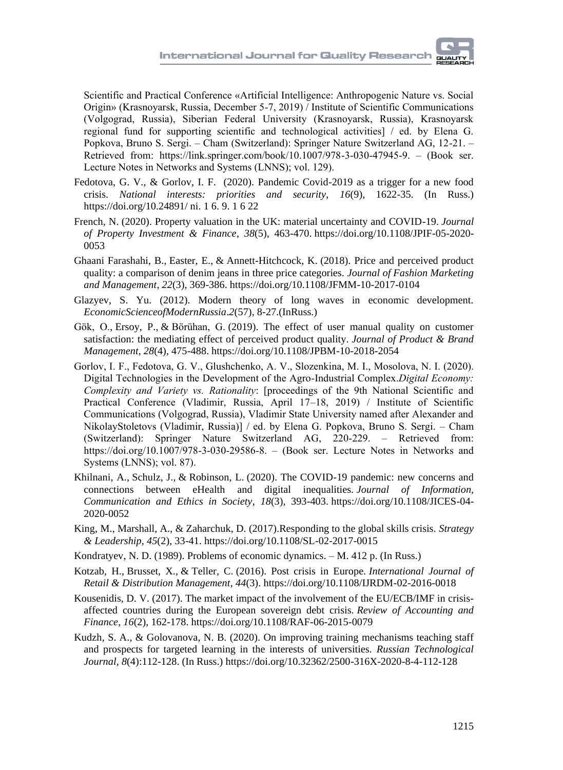Scientific and Practical Conference «Artificial Intelligence: Anthropogenic Nature vs. Social Origin» (Krasnoyarsk, Russia, December 5-7, 2019) / Institute of Scientific Communications (Volgograd, Russia), Siberian Federal University (Krasnoyarsk, Russia), Krasnoyarsk regional fund for supporting scientific and technological activities] / ed. by Elena G. Popkova, Bruno S. Sergi. – Cham (Switzerland): Springer Nature Switzerland AG, 12-21. – Retrieved from: https://link.springer.com/book/10.1007/978-3-030-47945-9. – (Book ser. Lecture Notes in Networks and Systems (LNNS); vol. 129).

- Fedotova, G. V., & Gorlov, I. F. (2020). Pandemic Covid-2019 as a trigger for a new food crisis. *National interests: priorities and security*, *16*(9), 1622-35. (In Russ.) https://doi.org/10.24891/ ni. 1 6. 9. 1 6 22
- [French, N.](https://www.emerald.com/insight/search?q=Nick%20French) (2020). Property valuation in the UK: material uncertainty and COVID-19. *[Journal](https://www.emerald.com/insight/publication/issn/1463-578X)  [of Property Investment & Finance](https://www.emerald.com/insight/publication/issn/1463-578X)*, *38*(5), 463-470. [https://doi.org/10.1108/JPIF-05-2020-](https://doi.org/10.1108/JPIF-05-2020-0053) [0053](https://doi.org/10.1108/JPIF-05-2020-0053)
- [Ghaani Farashahi, B.,](https://www.emerald.com/insight/search?q=Behnoosh%20Ghaani%20Farashahi) [Easter, E.,](https://www.emerald.com/insight/search?q=Elizabeth%20Easter) & [Annett-Hitchcock, K.](https://www.emerald.com/insight/search?q=Kate%20Annett-Hitchcock) (2018). Price and perceived product quality: a comparison of denim jeans in three price categories. *[Journal of Fashion Marketing](https://www.emerald.com/insight/publication/issn/1361-2026)  [and Management](https://www.emerald.com/insight/publication/issn/1361-2026)*, *22*(3), 369-386. <https://doi.org/10.1108/JFMM-10-2017-0104>
- Glazyev, S. Yu. (2012). Modern theory of long waves in economic development. *EconomicScienceofModernRussia*.*2*(57), 8-27.(InRuss.)
- [Gök, O.,](https://www.emerald.com/insight/search?q=Osman%20G%C3%B6k) [Ersoy, P.,](https://www.emerald.com/insight/search?q=Pervin%20Ersoy) & [Börühan, G.](https://www.emerald.com/insight/search?q=G%C3%BClm%C3%BC%C5%9F%20B%C3%B6r%C3%BChan) (2019). The effect of user manual quality on customer satisfaction: the mediating effect of perceived product quality. *[Journal of Product & Brand](https://www.emerald.com/insight/publication/issn/1061-0421)  [Management](https://www.emerald.com/insight/publication/issn/1061-0421)*, *28*(4), 475-488. <https://doi.org/10.1108/JPBM-10-2018-2054>
- Gorlov, I. F., Fedotova, G. V., Glushchenko, A. V., Slozenkina, M. I., Mosolova, N. I. (2020). Digital Technologies in the Development of the Agro-Industrial Complex.*Digital Economy: Complexity and Variety vs. Rationality*: [proceedings of the 9th National Scientific and Practical Conference (Vladimir, Russia, April 17–18, 2019) / Institute of Scientific Communications (Volgograd, Russia), Vladimir State University named after Alexander and NikolayStoletovs (Vladimir, Russia)] / ed. by Elena G. Popkova, Bruno S. Sergi. – Cham (Switzerland): Springer Nature Switzerland AG, 220-229. – Retrieved from: https://doi.org/10.1007/978-3-030-29586-8. – (Book ser. Lecture Notes in Networks and Systems (LNNS); vol. 87).
- [Khilnani, A.,](https://www.emerald.com/insight/search?q=Aneka%20Khilnani) [Schulz, J.,](https://www.emerald.com/insight/search?q=Jeremy%20Schulz) & [Robinson, L.](https://www.emerald.com/insight/search?q=Laura%20Robinson) (2020). The COVID-19 pandemic: new concerns and connections between eHealth and digital inequalities. *[Journal of Information,](https://www.emerald.com/insight/publication/issn/1477-996X)  [Communication and Ethics in Society](https://www.emerald.com/insight/publication/issn/1477-996X)*, *18*(3), 393-403. [https://doi.org/10.1108/JICES-04-](https://doi.org/10.1108/JICES-04-2020-0052) [2020-0052](https://doi.org/10.1108/JICES-04-2020-0052)
- [King, M.,](https://www.emerald.com/insight/search?q=Michael%20King) [Marshall, A.,](https://www.emerald.com/insight/search?q=Anthony%20Marshall) & [Zaharchuk, D.](https://www.emerald.com/insight/search?q=David%20Zaharchuk) (2017).Responding to the global skills crisis. *[Strategy](https://www.emerald.com/insight/publication/issn/1087-8572)  [& Leadership](https://www.emerald.com/insight/publication/issn/1087-8572)*, *45*(2), 33-41. <https://doi.org/10.1108/SL-02-2017-0015>
- Kondratyev, N. D. (1989). Problems of economic dynamics. M. 412 p. (In Russ.)
- [Kotzab, H.,](https://www.emerald.com/insight/search?q=Herbert%20Kotzab) [Brusset, X.,](https://www.emerald.com/insight/search?q=Xavier%20Brusset) & [Teller, C.](https://www.emerald.com/insight/search?q=Christoph%20Teller) (2016). Post crisis in Europe. *[International Journal of](https://www.emerald.com/insight/publication/issn/0959-0552)  [Retail & Distribution Management](https://www.emerald.com/insight/publication/issn/0959-0552)*, *44*(3). <https://doi.org/10.1108/IJRDM-02-2016-0018>
- [Kousenidis, D.](https://www.emerald.com/insight/search?q=Dimitrios%20V.%20Kousenidis) V. (2017). The market impact of the involvement of the EU/ECB/IMF in crisisaffected countries during the European sovereign debt crisis. *[Review of Accounting and](https://www.emerald.com/insight/publication/issn/1475-7702)  [Finance](https://www.emerald.com/insight/publication/issn/1475-7702)*, *16*(2), 162-178. <https://doi.org/10.1108/RAF-06-2015-0079>
- Kudzh, S. A., & Golovanova, N. B. (2020). On improving training mechanisms teaching staff and prospects for targeted learning in the interests of universities. *Russian Technological Journal, 8*(4):112-128. (In Russ.) https://doi.org/10.32362/2500-316X-2020-8-4-112-128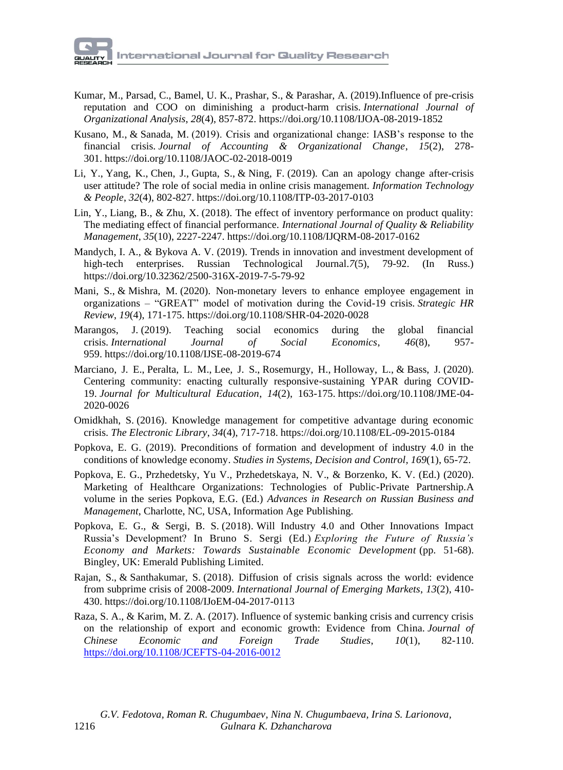

- [Kumar, M.,](https://www.emerald.com/insight/search?q=Mukesh%20Kumar) [Parsad, C.,](https://www.emerald.com/insight/search?q=Chandan%20Parsad) [Bamel, U.](https://www.emerald.com/insight/search?q=Umesh%20Kumar%20Bamel) K., [Prashar, S.,](https://www.emerald.com/insight/search?q=Sanjeev%20Prashar) & [Parashar, A.](https://www.emerald.com/insight/search?q=Archana%20Parashar) (2019).Influence of pre-crisis reputation and COO on diminishing a product-harm crisis. *[International Journal of](https://www.emerald.com/insight/publication/issn/1934-8835)  [Organizational Analysis](https://www.emerald.com/insight/publication/issn/1934-8835)*, *28*(4), 857-872. <https://doi.org/10.1108/IJOA-08-2019-1852>
- [Kusano, M.,](https://www.emerald.com/insight/search?q=Masaki%20Kusano) & [Sanada, M.](https://www.emerald.com/insight/search?q=Masatsugu%20Sanada) (2019). Crisis and organizational change: IASB's response to the financial crisis. *[Journal of Accounting & Organizational Change](https://www.emerald.com/insight/publication/issn/1832-5912)*, *15*(2), 278- 301. <https://doi.org/10.1108/JAOC-02-2018-0019>
- [Li, Y.,](https://www.emerald.com/insight/search?q=Ying%20Li) [Yang, K.,](https://www.emerald.com/insight/search?q=Ke%20Yang) [Chen, J.,](https://www.emerald.com/insight/search?q=Jin%20Chen) [Gupta, S.,](https://www.emerald.com/insight/search?q=Sumeet%20Gupta) & [Ning, F.](https://www.emerald.com/insight/search?q=Feiyang%20Ning) (2019). Can an apology change after-crisis user attitude? The role of social media in online crisis management. *[Information Technology](https://www.emerald.com/insight/publication/issn/0959-3845)  [& People](https://www.emerald.com/insight/publication/issn/0959-3845)*, *32*(4), 802-827. <https://doi.org/10.1108/ITP-03-2017-0103>
- [Lin, Y.,](https://www.emerald.com/insight/search?q=Yu%20Lin) [Liang, B.,](https://www.emerald.com/insight/search?q=Biwei%20Liang) & [Zhu, X.](https://www.emerald.com/insight/search?q=Xuechang%20Zhu) (2018). The effect of inventory performance on product quality: The mediating effect of financial performance. *[International Journal of Quality & Reliability](https://www.emerald.com/insight/publication/issn/0265-671X)  [Management](https://www.emerald.com/insight/publication/issn/0265-671X)*, *35*(10), 2227-2247. <https://doi.org/10.1108/IJQRM-08-2017-0162>
- Mandych, I. A., & Bykova A. V. (2019). Trends in innovation and investment development of high-tech enterprises. Russian Technological Journal.*7*(5), 79-92. (In Russ.) https://doi.org/10.32362/2500-316X-2019-7-5-79-92
- [Mani, S.,](https://www.emerald.com/insight/search?q=Swaminathan%20Mani) & [Mishra, M.](https://www.emerald.com/insight/search?q=Mridula%20Mishra) (2020). Non-monetary levers to enhance employee engagement in organizations – "GREAT" model of motivation during the Covid-19 crisis. *[Strategic HR](https://www.emerald.com/insight/publication/issn/1475-4398)  [Review](https://www.emerald.com/insight/publication/issn/1475-4398)*, *19*(4), 171-175. <https://doi.org/10.1108/SHR-04-2020-0028>
- [Marangos, J.](https://www.emerald.com/insight/search?q=John%20Marangos) (2019). Teaching social economics during the global financial crisis. *[International Journal of Social Economics](https://www.emerald.com/insight/publication/issn/0306-8293)*, *46*(8), 957- 959. <https://doi.org/10.1108/IJSE-08-2019-674>
- [Marciano, J.](https://www.emerald.com/insight/search?q=Joanne%20E.%20Marciano) E., [Peralta, L.](https://www.emerald.com/insight/search?q=Lee%20Melvin%20Peralta) M., [Lee, J.](https://www.emerald.com/insight/search?q=Ji%20Soo%20Lee) S., [Rosemurgy, H.,](https://www.emerald.com/insight/search?q=Hannah%20Rosemurgy) [Holloway, L.,](https://www.emerald.com/insight/search?q=Lillian%20Holloway) & [Bass, J.](https://www.emerald.com/insight/search?q=Justice%20Bass) (2020). Centering community: enacting culturally responsive-sustaining YPAR during COVID-19. *[Journal for Multicultural Education](https://www.emerald.com/insight/publication/issn/2053-535X)*, *14*(2), 163-175. [https://doi.org/10.1108/JME-04-](https://doi.org/10.1108/JME-04-2020-0026) [2020-0026](https://doi.org/10.1108/JME-04-2020-0026)
- [Omidkhah, S.](https://www.emerald.com/insight/search?q=Soodabeh%20Omidkhah) (2016). Knowledge management for competitive advantage during economic crisis. *[The Electronic Library](https://www.emerald.com/insight/publication/issn/0264-0473)*, *34*(4), 717-718. <https://doi.org/10.1108/EL-09-2015-0184>
- [Popkova, E.](https://proxylibrary.hse.ru:2073/authid/detail.uri?origin=resultslist&authorId=55671568200&zone=) G. (2019). [Preconditions of formation and development of industry 4.0 in the](https://proxylibrary.hse.ru:2073/record/display.uri?eid=2-s2.0-85051071659&origin=resultslist&sort=plf-f&src=s&st1=Popkova+E.G.&st2=&sid=909f4c7348a91edcd2694d36f4c15eb5&sot=b&sdt=b&sl=25&s=AUTHOR-NAME%28Popkova+E.G.%29&relpos=3&citeCnt=16&searchTerm=)  [conditions of knowledge economy.](https://proxylibrary.hse.ru:2073/record/display.uri?eid=2-s2.0-85051071659&origin=resultslist&sort=plf-f&src=s&st1=Popkova+E.G.&st2=&sid=909f4c7348a91edcd2694d36f4c15eb5&sot=b&sdt=b&sl=25&s=AUTHOR-NAME%28Popkova+E.G.%29&relpos=3&citeCnt=16&searchTerm=) *[Studies in Systems, Decision and Control,](https://proxylibrary.hse.ru:2073/sourceid/21100828949?origin=resultslist) 169*(1), 65-72.
- Popkova, E. G., Przhedetsky, Yu V., Przhedetskaya, N. V., & Borzenko, K. V. (Ed.) (2020). Marketing of Healthcare Organizations: Technologies of Public-Private Partnership*.*A volume in the series Popkova, E.G. (Ed.) *[Advances in Research on Russian Business and](https://www.infoagepub.com/series/Advances-in-Research-on-Russian-Business-and-Management)  [Management](https://www.infoagepub.com/series/Advances-in-Research-on-Russian-Business-and-Management)*, Charlotte, NC, USA, Information Age Publishing.
- Popkova, E. G., & Sergi, B. S. (2018). Will Industry 4.0 and Other Innovations Impact Russia's Development? In Bruno S. Sergi (Ed.) *Exploring the Future of Russia's Economy and Markets: Towards Sustainable Economic Development* (pp. 51-68). Bingley, UK: Emerald Publishing Limited.
- [Rajan, S.,](https://www.emerald.com/insight/search?q=Sruthi%20Rajan) & [Santhakumar, S.](https://www.emerald.com/insight/search?q=Shijin%20Santhakumar) (2018). Diffusion of crisis signals across the world: evidence from subprime crisis of 2008-2009. *[International Journal of Emerging Markets](https://www.emerald.com/insight/publication/issn/1746-8809)*, *13*(2), 410- 430. <https://doi.org/10.1108/IJoEM-04-2017-0113>
- [Raza, S.](https://www.emerald.com/insight/search?q=Syed%20Ali%20Raza) A., & [Karim, M.](https://www.emerald.com/insight/search?q=Mohd%20Zaini%20Abd%20Karim) Z. A. (2017). Influence of systemic banking crisis and currency crisis on the relationship of export and economic growth: Evidence from China. *[Journal of](https://www.emerald.com/insight/publication/issn/1754-4408)  [Chinese Economic and Foreign Trade Studies](https://www.emerald.com/insight/publication/issn/1754-4408)*, *10*(1), 82-110. <https://doi.org/10.1108/JCEFTS-04-2016-0012>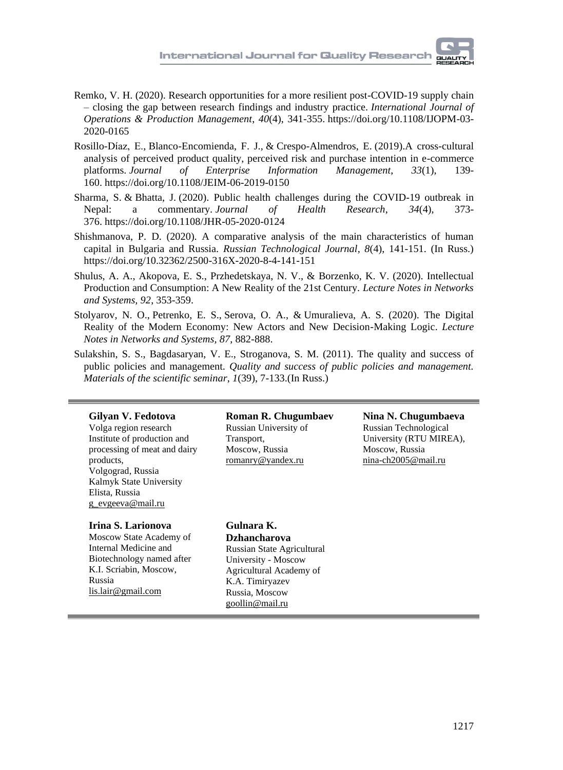- [Remko, V.](https://www.emerald.com/insight/search?q=van%20Hoek%20Remko) H. (2020). Research opportunities for a more resilient post-COVID-19 supply chain – closing the gap between research findings and industry practice. *[International Journal of](https://www.emerald.com/insight/publication/issn/0144-3577)  [Operations & Production Management](https://www.emerald.com/insight/publication/issn/0144-3577)*, *40*(4), 341-355. [https://doi.org/10.1108/IJOPM-03-](https://doi.org/10.1108/IJOPM-03-2020-0165) [2020-0165](https://doi.org/10.1108/IJOPM-03-2020-0165)
- [Rosillo-Díaz, E.,](https://www.emerald.com/insight/search?q=Elena%20Rosillo-D%C3%ADaz) [Blanco-Encomienda, F.](https://www.emerald.com/insight/search?q=Francisco%20Javier%20Blanco-Encomienda) J., & [Crespo-Almendros, E.](https://www.emerald.com/insight/search?q=Esmeralda%20Crespo-Almendros) (2019).A cross-cultural analysis of perceived product quality, perceived risk and purchase intention in e-commerce platforms. *[Journal of Enterprise Information Management](https://www.emerald.com/insight/publication/issn/1741-0398)*, *33*(1), 139- 160. <https://doi.org/10.1108/JEIM-06-2019-0150>
- [Sharma, S.](https://www.emerald.com/insight/search?q=Sharmistha%20Sharma) & [Bhatta, J.](https://www.emerald.com/insight/search?q=Jeevan%20Bhatta) (2020). Public health challenges during the COVID-19 outbreak in Nepal: a commentary. *[Journal of Health Research](https://www.emerald.com/insight/publication/issn/2586-940X)*, *34*(4), 373- 376. <https://doi.org/10.1108/JHR-05-2020-0124>
- Shishmanova, P. D. (2020). A comparative analysis of the main characteristics of human capital in Bulgaria and Russia. *Russian Technological Journal, 8*(4), 141-151. (In Russ.) <https://doi.org/10.32362/2500-316X-2020-8-4-141-151>
- Shulus, A. A., Akopova, E. S., Przhedetskaya, N. V., & Borzenko, K. V. (2020). Intellectual Production and Consumption: A New Reality of the 21st Century. *Lecture Notes in Networks and Systems, 92*, 353-359.
- [Stolyarov, N.](https://proxylibrary.hse.ru:2073/authid/detail.uri?origin=AuthorProfile&authorId=57210110510&zone=) O., [Petrenko, E.](https://proxylibrary.hse.ru:2073/authid/detail.uri?origin=AuthorProfile&authorId=57192267828&zone=) S., [Serova, O.](https://proxylibrary.hse.ru:2073/authid/detail.uri?origin=AuthorProfile&authorId=57205322234&zone=) A., & [Umuralieva, A.](https://proxylibrary.hse.ru:2073/authid/detail.uri?origin=AuthorProfile&authorId=57211182188&zone=) S. (2020). [The Digital](https://proxylibrary.hse.ru:2073/record/display.uri?eid=2-s2.0-85072878366&origin=resultslist&sort=plf-f&src=s&sid=dbcd353715845cf560b6678e8bccfb41&sot=autdocs&sdt=autdocs&sl=18&s=AU-ID%2857192267828%29&relpos=2&citeCnt=0&searchTerm=)  [Reality of the Modern Economy: New Actors and New Decision-Making Logic.](https://proxylibrary.hse.ru:2073/record/display.uri?eid=2-s2.0-85072878366&origin=resultslist&sort=plf-f&src=s&sid=dbcd353715845cf560b6678e8bccfb41&sot=autdocs&sdt=autdocs&sl=18&s=AU-ID%2857192267828%29&relpos=2&citeCnt=0&searchTerm=) *[Lecture](https://proxylibrary.hse.ru:2073/sourceid/21100901469?origin=resultslist)  [Notes in Networks and Systems,](https://proxylibrary.hse.ru:2073/sourceid/21100901469?origin=resultslist) 87*, 882-888.
- Sulakshin, S. S., Bagdasaryan, V. E., Stroganova, S. M. (2011). The quality and success of public policies and management. *Quality and success of public policies and management. Materials of the scientific seminar*, *1*(39), 7-133.(In Russ.)

#### **Gilyan V. Fedotova**

Volga region research Institute of production and processing of meat and dairy products, Volgograd, Russia Kalmyk State University Elista, Russia [g\\_evgeeva@mail.ru](mailto:g_evgeeva@mail.ru)

#### **Irina S. Larionova**

Moscow State Academy of Internal Medicine and Biotechnology named after K.I. Scriabin, Moscow, Russia lis.lair@gmail.com

**Roman R. Chugumbaev**  Russian University of Transport, Moscow, Russia [romanry@yandex.ru](mailto:romanry@yandex.ru)

#### **Nina N. Chugumbaeva** Russian Technological University (RTU MIREA), Moscow, Russia nina-ch2005@mail.ru

**Gulnara K. Dzhancharova** Russian State Agricultural University - Moscow Agricultural Academy of K.A. Timiryazev Russia, Moscow [goollin@mail.ru](mailto:goollin@mail.ru)